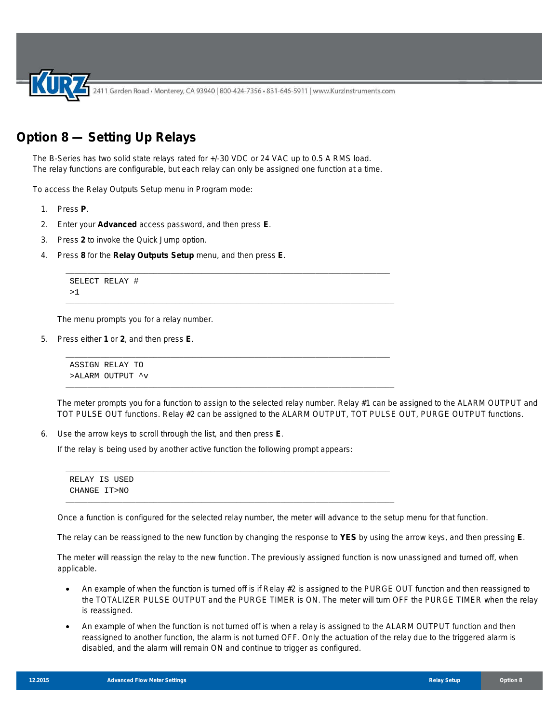2411 Garden Road • Monterey, CA 93940 | 800-424-7356 • 831-646-5911 | www.KurzInstruments.com

## **Option 8 — Setting Up Relays**

The B-Series has two solid state relays rated for +/-30 VDC or 24 VAC up to 0.5 A RMS load. The relay functions are configurable, but each relay can only be assigned one function at a time.

\_\_\_\_\_\_\_\_\_\_\_\_\_\_\_\_\_\_\_\_\_\_\_\_\_\_\_\_\_\_\_\_\_\_\_\_\_\_\_\_\_\_\_\_\_\_\_\_\_\_\_\_\_\_\_\_\_\_\_\_\_\_\_\_\_\_\_\_\_\_\_\_\_\_

\_\_\_\_\_\_\_\_\_\_\_\_\_\_\_\_\_\_\_\_\_\_\_\_\_\_\_\_\_\_\_\_\_\_\_\_\_\_\_\_\_\_\_\_\_\_\_\_\_\_\_\_\_\_\_\_\_\_\_\_\_\_\_\_\_\_\_\_\_\_\_\_\_\_\_

\_\_\_\_\_\_\_\_\_\_\_\_\_\_\_\_\_\_\_\_\_\_\_\_\_\_\_\_\_\_\_\_\_\_\_\_\_\_\_\_\_\_\_\_\_\_\_\_\_\_\_\_\_\_\_\_\_\_\_\_\_\_\_\_\_\_\_\_\_\_\_\_\_\_

\_\_\_\_\_\_\_\_\_\_\_\_\_\_\_\_\_\_\_\_\_\_\_\_\_\_\_\_\_\_\_\_\_\_\_\_\_\_\_\_\_\_\_\_\_\_\_\_\_\_\_\_\_\_\_\_\_\_\_\_\_\_\_\_\_\_\_\_\_\_\_\_\_\_\_

To access the Relay Outputs Setup menu in Program mode:

- 1. Press **P**.
- 2. Enter your **Advanced** access password, and then press **E**.
- 3. Press **2** to invoke the Quick Jump option.
- 4. Press **8** for the **Relay Outputs Setup** menu, and then press **E**.

```
SELECT RELAY #
>1
```
The menu prompts you for a relay number.

5. Press either **1** or **2**, and then press **E**.

ASSIGN RELAY TO >ALARM OUTPUT ^v

The meter prompts you for a function to assign to the selected relay number. Relay #1 can be assigned to the ALARM OUTPUT and TOT PULSE OUT functions. Relay #2 can be assigned to the ALARM OUTPUT, TOT PULSE OUT, PURGE OUTPUT functions.

6. Use the arrow keys to scroll through the list, and then press **E**.

If the relay is being used by another active function the following prompt appears:

\_\_\_\_\_\_\_\_\_\_\_\_\_\_\_\_\_\_\_\_\_\_\_\_\_\_\_\_\_\_\_\_\_\_\_\_\_\_\_\_\_\_\_\_\_\_\_\_\_\_\_\_\_\_\_\_\_\_\_\_\_\_\_\_\_\_\_\_\_\_\_\_\_\_ RELAY IS USED CHANGE IT>NO \_\_\_\_\_\_\_\_\_\_\_\_\_\_\_\_\_\_\_\_\_\_\_\_\_\_\_\_\_\_\_\_\_\_\_\_\_\_\_\_\_\_\_\_\_\_\_\_\_\_\_\_\_\_\_\_\_\_\_\_\_\_\_\_\_\_\_\_\_\_\_\_\_\_\_

Once a function is configured for the selected relay number, the meter will advance to the setup menu for that function.

The relay can be reassigned to the new function by changing the response to **YES** by using the arrow keys, and then pressing **E**.

The meter will reassign the relay to the new function. The previously assigned function is now unassigned and turned off, when applicable.

- An example of when the function is turned off is if Relay #2 is assigned to the PURGE OUT function and then reassigned to the TOTALIZER PULSE OUTPUT *and* the PURGE TIMER is ON. The meter will turn OFF the PURGE TIMER when the relay is reassigned.
- An example of when the function is *not* turned off is when a relay is assigned to the ALARM OUTPUT function and then reassigned to another function, the alarm is not turned OFF. Only the actuation of the relay due to the triggered alarm is disabled, and the alarm will remain ON and continue to trigger as configured.